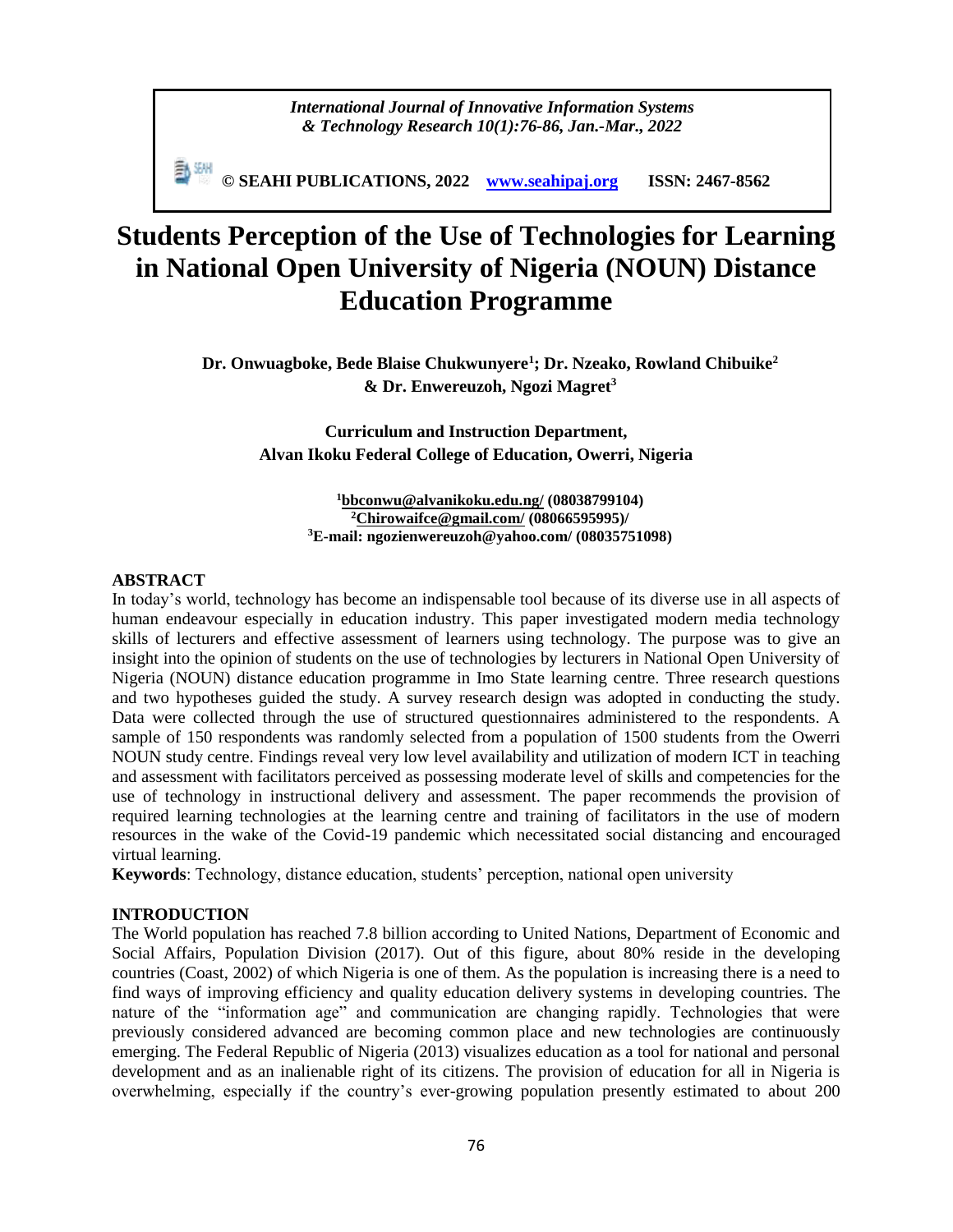## *International Journal of Innovative Information Systems & Technology Research 10(1):76-86, Jan.-Mar., 2022*

**© SEAHI PUBLICATIONS, 2022 [www.seahipaj.org](http://www.seahipaj.org/) ISSN: 2467-8562**

# **Students Perception of the Use of Technologies for Learning in National Open University of Nigeria (NOUN) Distance Education Programme**

**Dr. Onwuagboke, Bede Blaise Chukwunyere<sup>1</sup> ; Dr. Nzeako, Rowland Chibuike<sup>2</sup> & Dr. Enwereuzoh, Ngozi Magret<sup>3</sup>**

> **Curriculum and Instruction Department, Alvan Ikoku Federal College of Education, Owerri, Nigeria**

> > **<sup>1</sup>[bbconwu@alvanikoku.edu.ng/](mailto:bbconwu@alvanikoku.edu.ng/) (08038799104) <sup>2</sup>[Chirowaifce@gmail.com/](mailto:Chirowaifce@gmail.com/) (08066595995)/ <sup>3</sup>E-mail: [ngozienwereuzoh@yahoo.com/](mailto:ngozienwereuzoh@yahoo.com) (08035751098)**

#### **ABSTRACT**

In today's world, technology has become an indispensable tool because of its diverse use in all aspects of human endeavour especially in education industry. This paper investigated modern media technology skills of lecturers and effective assessment of learners using technology. The purpose was to give an insight into the opinion of students on the use of technologies by lecturers in National Open University of Nigeria (NOUN) distance education programme in Imo State learning centre. Three research questions and two hypotheses guided the study. A survey research design was adopted in conducting the study. Data were collected through the use of structured questionnaires administered to the respondents. A sample of 150 respondents was randomly selected from a population of 1500 students from the Owerri NOUN study centre. Findings reveal very low level availability and utilization of modern ICT in teaching and assessment with facilitators perceived as possessing moderate level of skills and competencies for the use of technology in instructional delivery and assessment. The paper recommends the provision of required learning technologies at the learning centre and training of facilitators in the use of modern resources in the wake of the Covid-19 pandemic which necessitated social distancing and encouraged virtual learning.

**Keywords**: Technology, distance education, students' perception, national open university

#### **INTRODUCTION**

The World population has reached 7.8 billion according to United Nations, Department of Economic and Social Affairs, Population Division (2017). Out of this figure, about 80% reside in the developing countries (Coast, 2002) of which Nigeria is one of them. As the population is increasing there is a need to find ways of improving efficiency and quality education delivery systems in developing countries. The nature of the "information age" and communication are changing rapidly. Technologies that were previously considered advanced are becoming common place and new technologies are continuously emerging. The Federal Republic of Nigeria (2013) visualizes education as a tool for national and personal development and as an inalienable right of its citizens. The provision of education for all in Nigeria is overwhelming, especially if the country's ever-growing population presently estimated to about 200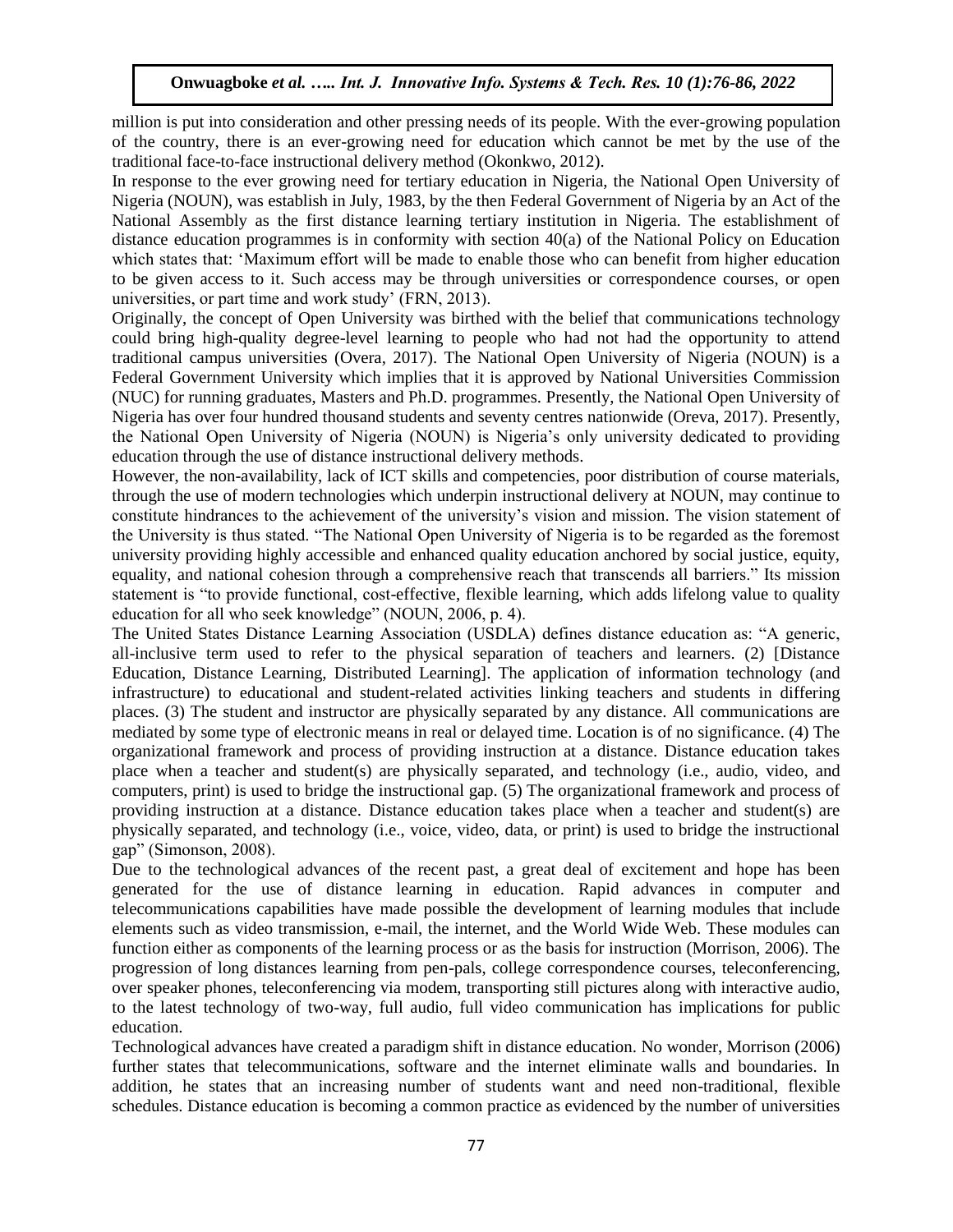million is put into consideration and other pressing needs of its people. With the ever-growing population of the country, there is an ever-growing need for education which cannot be met by the use of the traditional face-to-face instructional delivery method (Okonkwo, 2012).

In response to the ever growing need for tertiary education in Nigeria, the National Open University of Nigeria (NOUN), was establish in July, 1983, by the then Federal Government of Nigeria by an Act of the National Assembly as the first distance learning tertiary institution in Nigeria. The establishment of distance education programmes is in conformity with section 40(a) of the National Policy on Education which states that: 'Maximum effort will be made to enable those who can benefit from higher education to be given access to it. Such access may be through universities or correspondence courses, or open universities, or part time and work study' (FRN, 2013).

Originally, the concept of Open University was birthed with the belief that communications technology could bring high-quality degree-level learning to people who had not had the opportunity to attend traditional campus universities (Overa, 2017). The National Open University of Nigeria (NOUN) is a Federal Government University which implies that it is approved by National Universities Commission (NUC) for running graduates, Masters and Ph.D. programmes. Presently, the National Open University of Nigeria has over four hundred thousand students and seventy centres nationwide (Oreva, 2017). Presently, the National Open University of Nigeria (NOUN) is Nigeria's only university dedicated to providing education through the use of distance instructional delivery methods.

However, the non-availability, lack of ICT skills and competencies, poor distribution of course materials, through the use of modern technologies which underpin instructional delivery at NOUN, may continue to constitute hindrances to the achievement of the university's vision and mission. The vision statement of the University is thus stated. "The National Open University of Nigeria is to be regarded as the foremost university providing highly accessible and enhanced quality education anchored by social justice, equity, equality, and national cohesion through a comprehensive reach that transcends all barriers." Its mission statement is "to provide functional, cost-effective, flexible learning, which adds lifelong value to quality education for all who seek knowledge" (NOUN, 2006, p. 4).

The United States Distance Learning Association (USDLA) defines distance education as: "A generic, all-inclusive term used to refer to the physical separation of teachers and learners. (2) [Distance Education, Distance Learning, Distributed Learning]. The application of information technology (and infrastructure) to educational and student-related activities linking teachers and students in differing places. (3) The student and instructor are physically separated by any distance. All communications are mediated by some type of electronic means in real or delayed time. Location is of no significance. (4) The organizational framework and process of providing instruction at a distance. Distance education takes place when a teacher and student(s) are physically separated, and technology (i.e., audio, video, and computers, print) is used to bridge the instructional gap. (5) The organizational framework and process of providing instruction at a distance. Distance education takes place when a teacher and student(s) are physically separated, and technology (i.e., voice, video, data, or print) is used to bridge the instructional gap" (Simonson, 2008).

Due to the technological advances of the recent past, a great deal of excitement and hope has been generated for the use of distance learning in education. Rapid advances in computer and telecommunications capabilities have made possible the development of learning modules that include elements such as video transmission, e-mail, the internet, and the World Wide Web. These modules can function either as components of the learning process or as the basis for instruction (Morrison, 2006). The progression of long distances learning from pen-pals, college correspondence courses, teleconferencing, over speaker phones, teleconferencing via modem, transporting still pictures along with interactive audio, to the latest technology of two-way, full audio, full video communication has implications for public education.

Technological advances have created a paradigm shift in distance education. No wonder, Morrison (2006) further states that telecommunications, software and the internet eliminate walls and boundaries. In addition, he states that an increasing number of students want and need non-traditional, flexible schedules. Distance education is becoming a common practice as evidenced by the number of universities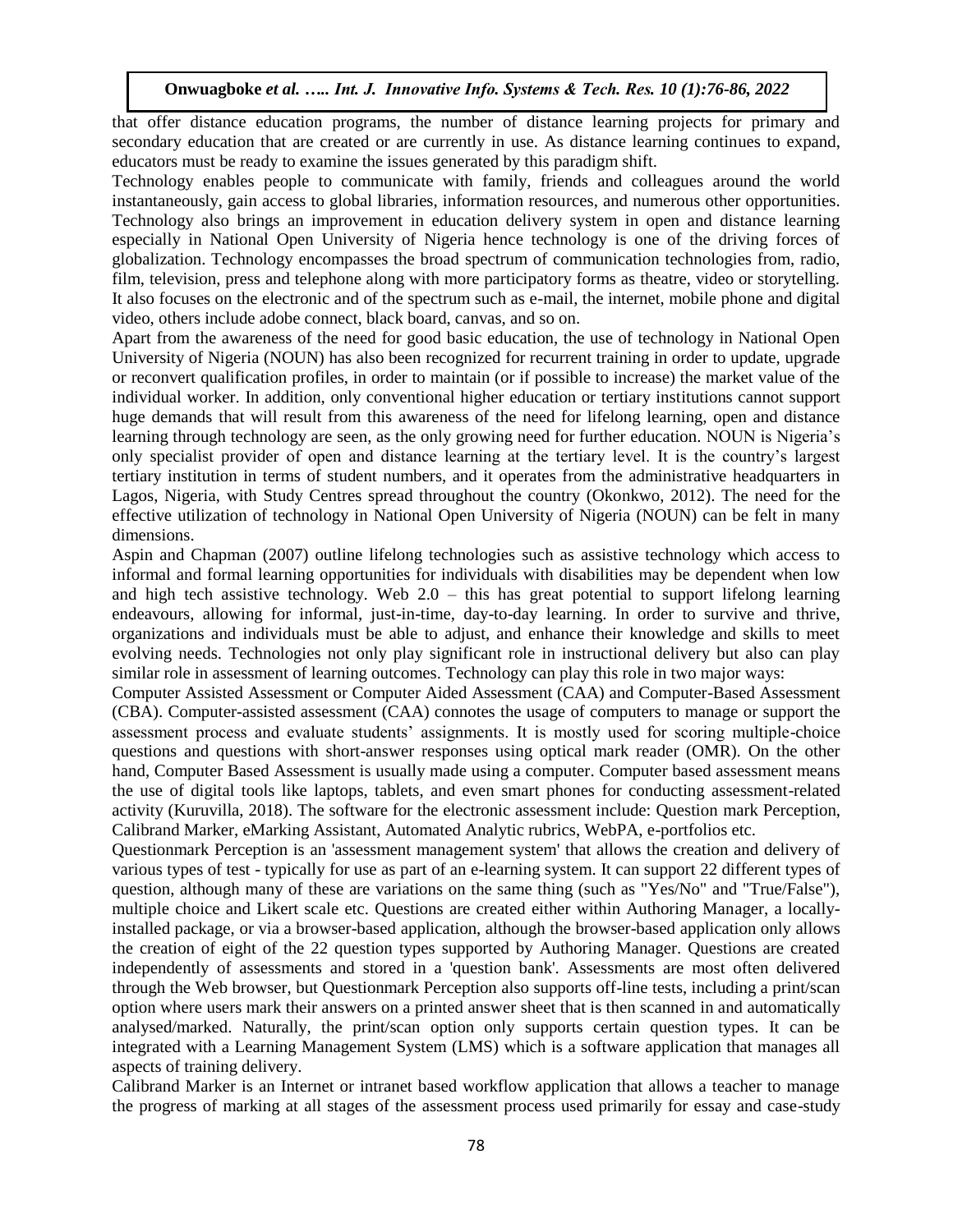that offer distance education programs, the number of distance learning projects for primary and secondary education that are created or are currently in use. As distance learning continues to expand, educators must be ready to examine the issues generated by this paradigm shift.

Technology enables people to communicate with family, friends and colleagues around the world instantaneously, gain access to global libraries, information resources, and numerous other opportunities. Technology also brings an improvement in education delivery system in open and distance learning especially in National Open University of Nigeria hence technology is one of the driving forces of globalization. Technology encompasses the broad spectrum of communication technologies from, radio, film, television, press and telephone along with more participatory forms as theatre, video or storytelling. It also focuses on the electronic and of the spectrum such as e-mail, the internet, mobile phone and digital video, others include adobe connect, black board, canvas, and so on.

Apart from the awareness of the need for good basic education, the use of technology in National Open University of Nigeria (NOUN) has also been recognized for recurrent training in order to update, upgrade or reconvert qualification profiles, in order to maintain (or if possible to increase) the market value of the individual worker. In addition, only conventional higher education or tertiary institutions cannot support huge demands that will result from this awareness of the need for lifelong learning, open and distance learning through technology are seen, as the only growing need for further education. NOUN is Nigeria's only specialist provider of open and distance learning at the tertiary level. It is the country's largest tertiary institution in terms of student numbers, and it operates from the administrative headquarters in Lagos, Nigeria, with Study Centres spread throughout the country (Okonkwo, 2012). The need for the effective utilization of technology in National Open University of Nigeria (NOUN) can be felt in many dimensions.

Aspin and Chapman (2007) outline lifelong technologies such as assistive technology which access to informal and formal learning opportunities for individuals with disabilities may be dependent when low and high tech assistive technology. Web  $2.0 -$  this has great potential to support lifelong learning endeavours, allowing for informal, just-in-time, day-to-day learning. In order to survive and thrive, organizations and individuals must be able to adjust, and enhance their knowledge and skills to meet evolving needs. Technologies not only play significant role in instructional delivery but also can play similar role in assessment of learning outcomes. Technology can play this role in two major ways:

Computer Assisted Assessment or Computer Aided Assessment (CAA) and Computer-Based Assessment (CBA). Computer-assisted assessment (CAA) connotes the usage of computers to manage or support the assessment process and evaluate students' assignments. It is mostly used for scoring multiple-choice questions and questions with short-answer responses using optical mark reader (OMR). On the other hand, Computer Based Assessment is usually made using a computer. Computer based assessment means the use of digital tools like laptops, tablets, and even smart phones for conducting assessment-related activity (Kuruvilla, 2018). The software for the electronic assessment include: Question mark Perception, Calibrand Marker, eMarking Assistant, Automated Analytic rubrics, WebPA, e-portfolios etc.

Questionmark Perception is an 'assessment management system' that allows the creation and delivery of various types of test - typically for use as part of an e-learning system. It can support 22 different types of question, although many of these are variations on the same thing (such as "Yes/No" and "True/False"), multiple choice and Likert scale etc. Questions are created either within Authoring Manager, a locallyinstalled package, or via a browser-based application, although the browser-based application only allows the creation of eight of the 22 question types supported by Authoring Manager. Questions are created independently of assessments and stored in a 'question bank'. Assessments are most often delivered through the Web browser, but Questionmark Perception also supports off-line tests, including a print/scan option where users mark their answers on a printed answer sheet that is then scanned in and automatically analysed/marked. Naturally, the print/scan option only supports certain question types. It can be integrated with a Learning Management System (LMS) which is a software application that manages all aspects of training delivery.

Calibrand Marker is an Internet or intranet based workflow application that allows a teacher to manage the progress of marking at all stages of the assessment process used primarily for essay and case-study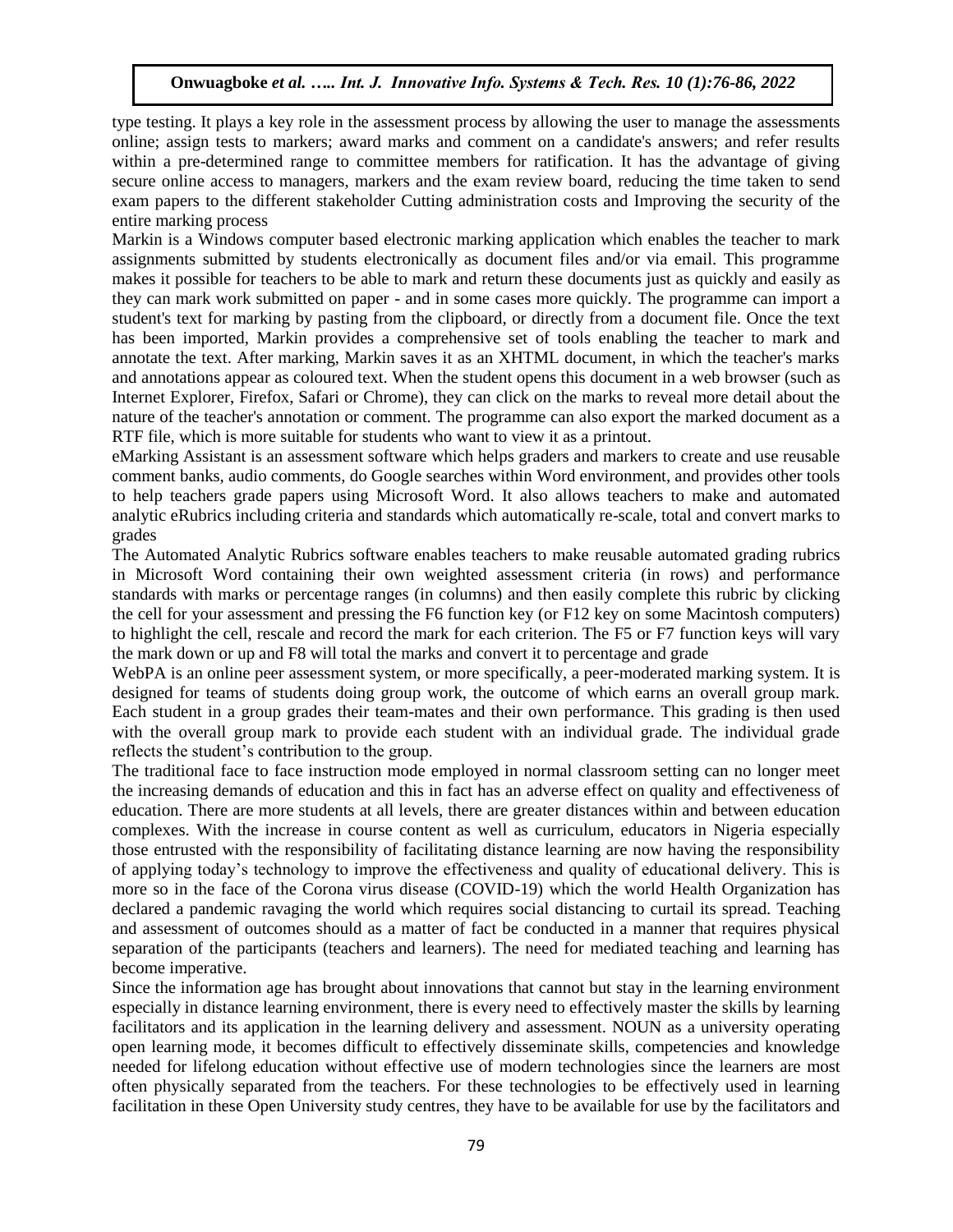type testing. It plays a key role in the assessment process by allowing the user to manage the assessments online; assign tests to markers; award marks and comment on a candidate's answers; and refer results within a pre-determined range to committee members for ratification. It has the advantage of giving secure online access to managers, markers and the exam review board, reducing the time taken to send exam papers to the different stakeholder Cutting administration costs and Improving the security of the entire marking process

Markin is a Windows computer based electronic marking application which enables the teacher to mark assignments submitted by students electronically as document files and/or via email. This programme makes it possible for teachers to be able to mark and return these documents just as quickly and easily as they can mark work submitted on paper - and in some cases more quickly. The programme can import a student's text for marking by pasting from the clipboard, or directly from a document file. Once the text has been imported, Markin provides a comprehensive set of tools enabling the teacher to mark and annotate the text. After marking, Markin saves it as an XHTML document, in which the teacher's marks and annotations appear as coloured text. When the student opens this document in a web browser (such as Internet Explorer, Firefox, Safari or Chrome), they can click on the marks to reveal more detail about the nature of the teacher's annotation or comment. The programme can also export the marked document as a RTF file, which is more suitable for students who want to view it as a printout.

eMarking Assistant is an assessment software which helps graders and markers to create and use reusable comment banks, audio comments, do Google searches within Word environment, and provides other tools to help teachers grade papers using Microsoft Word. It also allows teachers to make and automated analytic eRubrics including criteria and standards which automatically re-scale, total and convert marks to grades

The Automated Analytic Rubrics software enables teachers to make reusable automated grading rubrics in Microsoft Word containing their own weighted assessment criteria (in rows) and performance standards with marks or percentage ranges (in columns) and then easily complete this rubric by clicking the cell for your assessment and pressing the F6 function key (or F12 key on some Macintosh computers) to highlight the cell, rescale and record the mark for each criterion. The F5 or F7 function keys will vary the mark down or up and F8 will total the marks and convert it to percentage and grade

WebPA is an online peer assessment system, or more specifically, a peer-moderated marking system. It is designed for teams of students doing group work, the outcome of which earns an overall group mark. Each student in a group grades their team-mates and their own performance. This grading is then used with the overall group mark to provide each student with an individual grade. The individual grade reflects the student's contribution to the group.

The traditional face to face instruction mode employed in normal classroom setting can no longer meet the increasing demands of education and this in fact has an adverse effect on quality and effectiveness of education. There are more students at all levels, there are greater distances within and between education complexes. With the increase in course content as well as curriculum, educators in Nigeria especially those entrusted with the responsibility of facilitating distance learning are now having the responsibility of applying today's technology to improve the effectiveness and quality of educational delivery. This is more so in the face of the Corona virus disease (COVID-19) which the world Health Organization has declared a pandemic ravaging the world which requires social distancing to curtail its spread. Teaching and assessment of outcomes should as a matter of fact be conducted in a manner that requires physical separation of the participants (teachers and learners). The need for mediated teaching and learning has become imperative.

Since the information age has brought about innovations that cannot but stay in the learning environment especially in distance learning environment, there is every need to effectively master the skills by learning facilitators and its application in the learning delivery and assessment. NOUN as a university operating open learning mode, it becomes difficult to effectively disseminate skills, competencies and knowledge needed for lifelong education without effective use of modern technologies since the learners are most often physically separated from the teachers. For these technologies to be effectively used in learning facilitation in these Open University study centres, they have to be available for use by the facilitators and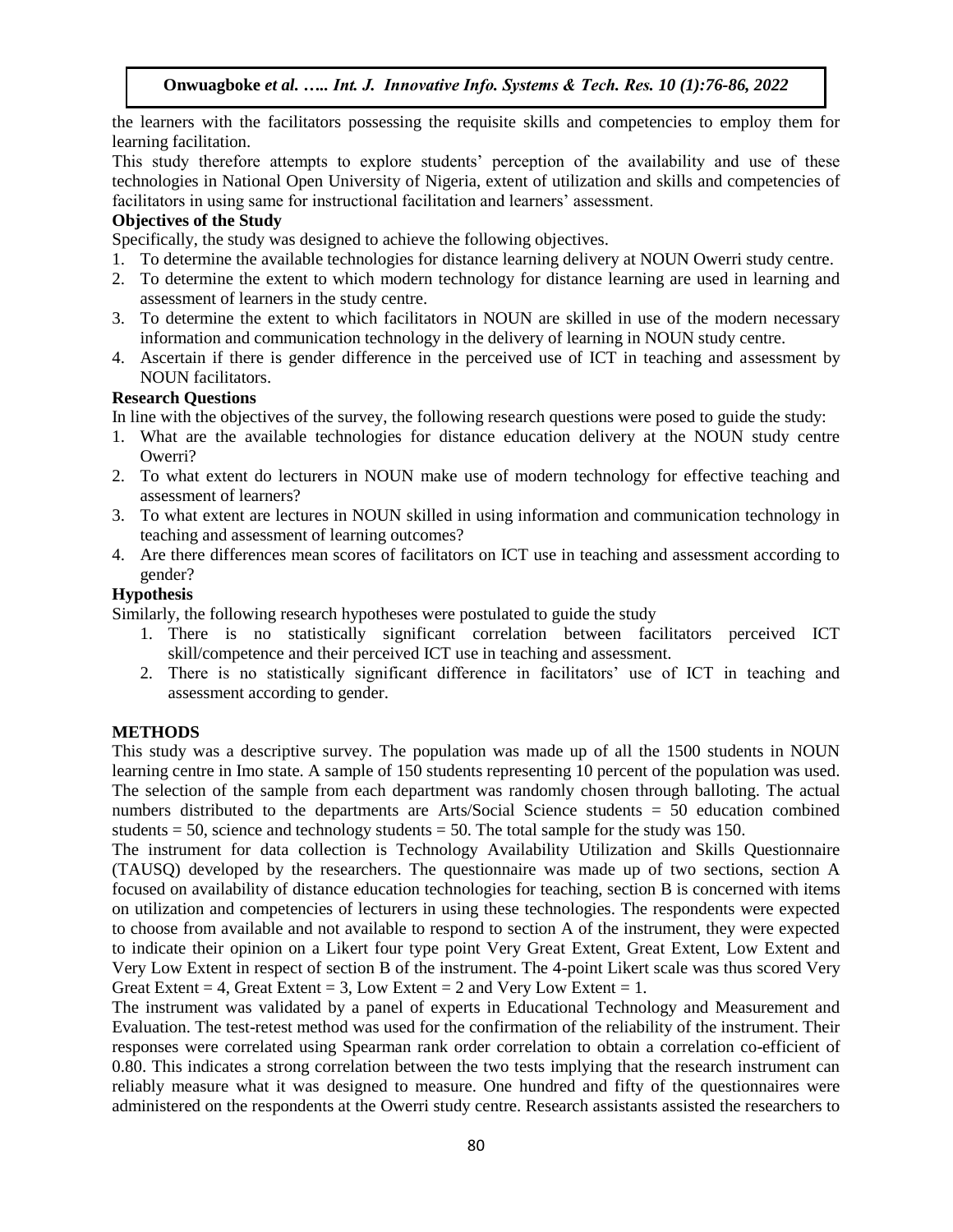the learners with the facilitators possessing the requisite skills and competencies to employ them for learning facilitation.

This study therefore attempts to explore students' perception of the availability and use of these technologies in National Open University of Nigeria, extent of utilization and skills and competencies of facilitators in using same for instructional facilitation and learners' assessment.

# **Objectives of the Study**

Specifically, the study was designed to achieve the following objectives.

- 1. To determine the available technologies for distance learning delivery at NOUN Owerri study centre.
- 2. To determine the extent to which modern technology for distance learning are used in learning and assessment of learners in the study centre.
- 3. To determine the extent to which facilitators in NOUN are skilled in use of the modern necessary information and communication technology in the delivery of learning in NOUN study centre.
- 4. Ascertain if there is gender difference in the perceived use of ICT in teaching and assessment by NOUN facilitators.

# **Research Questions**

In line with the objectives of the survey, the following research questions were posed to guide the study:

- 1. What are the available technologies for distance education delivery at the NOUN study centre Owerri?
- 2. To what extent do lecturers in NOUN make use of modern technology for effective teaching and assessment of learners?
- 3. To what extent are lectures in NOUN skilled in using information and communication technology in teaching and assessment of learning outcomes?
- 4. Are there differences mean scores of facilitators on ICT use in teaching and assessment according to gender?

# **Hypothesis**

Similarly, the following research hypotheses were postulated to guide the study

- 1. There is no statistically significant correlation between facilitators perceived ICT skill/competence and their perceived ICT use in teaching and assessment.
- 2. There is no statistically significant difference in facilitators' use of ICT in teaching and assessment according to gender.

# **METHODS**

This study was a descriptive survey. The population was made up of all the 1500 students in NOUN learning centre in Imo state. A sample of 150 students representing 10 percent of the population was used. The selection of the sample from each department was randomly chosen through balloting. The actual numbers distributed to the departments are Arts/Social Science students = 50 education combined students  $= 50$ , science and technology students  $= 50$ . The total sample for the study was 150.

The instrument for data collection is Technology Availability Utilization and Skills Questionnaire (TAUSQ) developed by the researchers. The questionnaire was made up of two sections, section A focused on availability of distance education technologies for teaching, section B is concerned with items on utilization and competencies of lecturers in using these technologies. The respondents were expected to choose from available and not available to respond to section A of the instrument, they were expected to indicate their opinion on a Likert four type point Very Great Extent, Great Extent, Low Extent and Very Low Extent in respect of section B of the instrument. The 4-point Likert scale was thus scored Very Great Extent = 4, Great Extent = 3, Low Extent = 2 and Very Low Extent = 1.

The instrument was validated by a panel of experts in Educational Technology and Measurement and Evaluation. The test-retest method was used for the confirmation of the reliability of the instrument. Their responses were correlated using Spearman rank order correlation to obtain a correlation co-efficient of 0.80. This indicates a strong correlation between the two tests implying that the research instrument can reliably measure what it was designed to measure. One hundred and fifty of the questionnaires were administered on the respondents at the Owerri study centre. Research assistants assisted the researchers to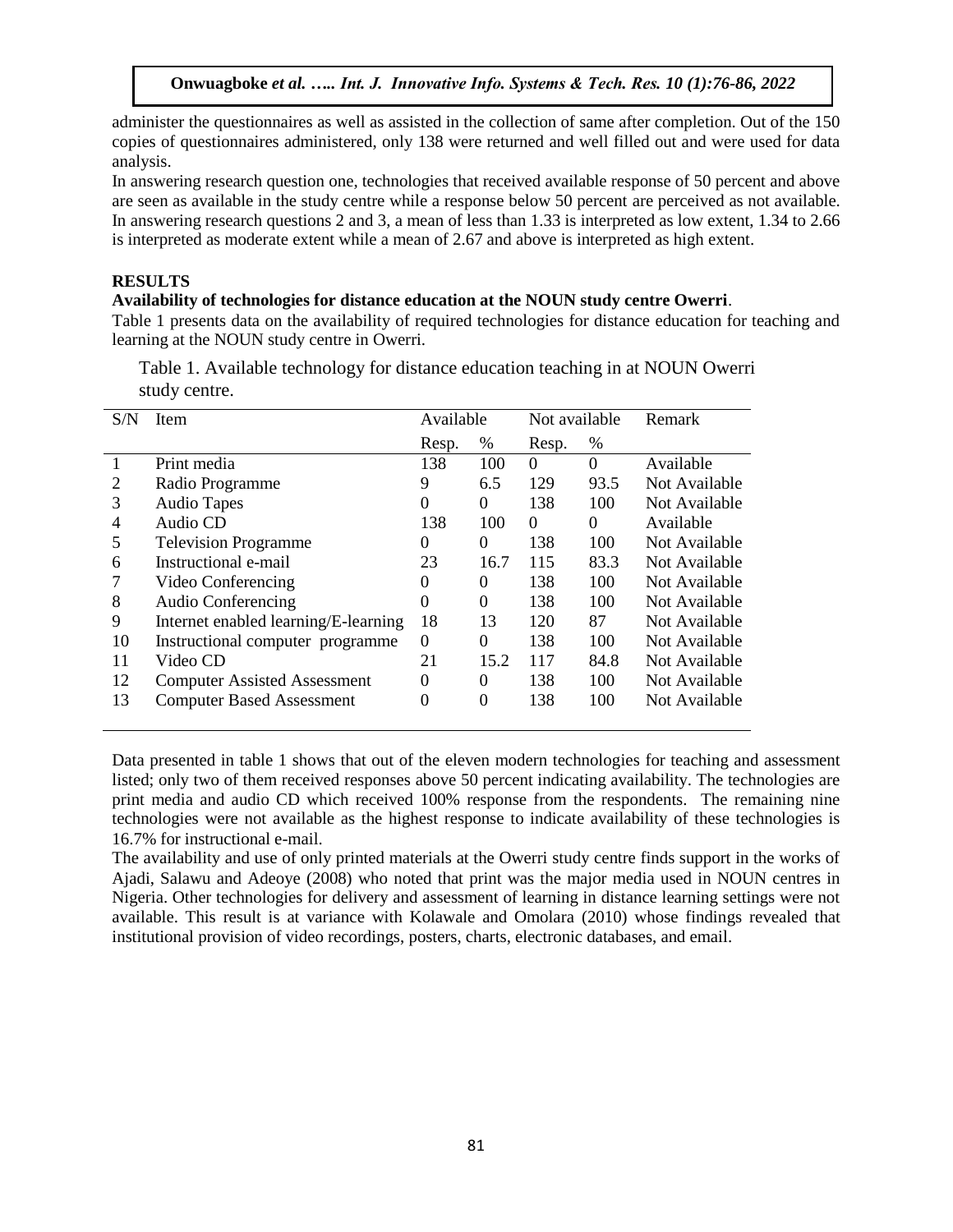administer the questionnaires as well as assisted in the collection of same after completion. Out of the 150 copies of questionnaires administered, only 138 were returned and well filled out and were used for data analysis.

In answering research question one, technologies that received available response of 50 percent and above are seen as available in the study centre while a response below 50 percent are perceived as not available. In answering research questions 2 and 3, a mean of less than 1.33 is interpreted as low extent, 1.34 to 2.66 is interpreted as moderate extent while a mean of 2.67 and above is interpreted as high extent.

# **RESULTS**

#### **Availability of technologies for distance education at the NOUN study centre Owerri**.

Table 1 presents data on the availability of required technologies for distance education for teaching and learning at the NOUN study centre in Owerri.

Table 1. Available technology for distance education teaching in at NOUN Owerri study centre.

| S/N | Item                                 | Available |          | Not available |          | Remark        |
|-----|--------------------------------------|-----------|----------|---------------|----------|---------------|
|     |                                      | Resp.     | $\%$     | Resp.         | %        |               |
|     | Print media                          | 138       | 100      | $\Omega$      | $\Omega$ | Available     |
| 2   | Radio Programme                      | 9         | 6.5      | 129           | 93.5     | Not Available |
| 3   | <b>Audio Tapes</b>                   | 0         | $\Omega$ | 138           | 100      | Not Available |
| 4   | Audio CD                             | 138       | 100      | $\Omega$      | $\Omega$ | Available     |
| 5   | <b>Television Programme</b>          | 0         | $\Omega$ | 138           | 100      | Not Available |
| 6   | Instructional e-mail                 | 23        | 16.7     | 115           | 83.3     | Not Available |
|     | Video Conferencing                   | 0         | 0        | 138           | 100      | Not Available |
| 8   | <b>Audio Conferencing</b>            | 0         | $\theta$ | 138           | 100      | Not Available |
| 9   | Internet enabled learning/E-learning | 18        | 13       | 120           | 87       | Not Available |
| 10  | Instructional computer programme     | $\Omega$  | $\Omega$ | 138           | 100      | Not Available |
| 11  | Video CD                             | 21        | 15.2     | 117           | 84.8     | Not Available |
| 12  | <b>Computer Assisted Assessment</b>  | $\theta$  | $\theta$ | 138           | 100      | Not Available |
| 13  | <b>Computer Based Assessment</b>     | $\theta$  | $\Omega$ | 138           | 100      | Not Available |
|     |                                      |           |          |               |          |               |

Data presented in table 1 shows that out of the eleven modern technologies for teaching and assessment listed; only two of them received responses above 50 percent indicating availability. The technologies are print media and audio CD which received 100% response from the respondents. The remaining nine technologies were not available as the highest response to indicate availability of these technologies is 16.7% for instructional e-mail.

The availability and use of only printed materials at the Owerri study centre finds support in the works of Ajadi, Salawu and Adeoye (2008) who noted that print was the major media used in NOUN centres in Nigeria. Other technologies for delivery and assessment of learning in distance learning settings were not available. This result is at variance with Kolawale and Omolara (2010) whose findings revealed that institutional provision of video recordings, posters, charts, electronic databases, and email.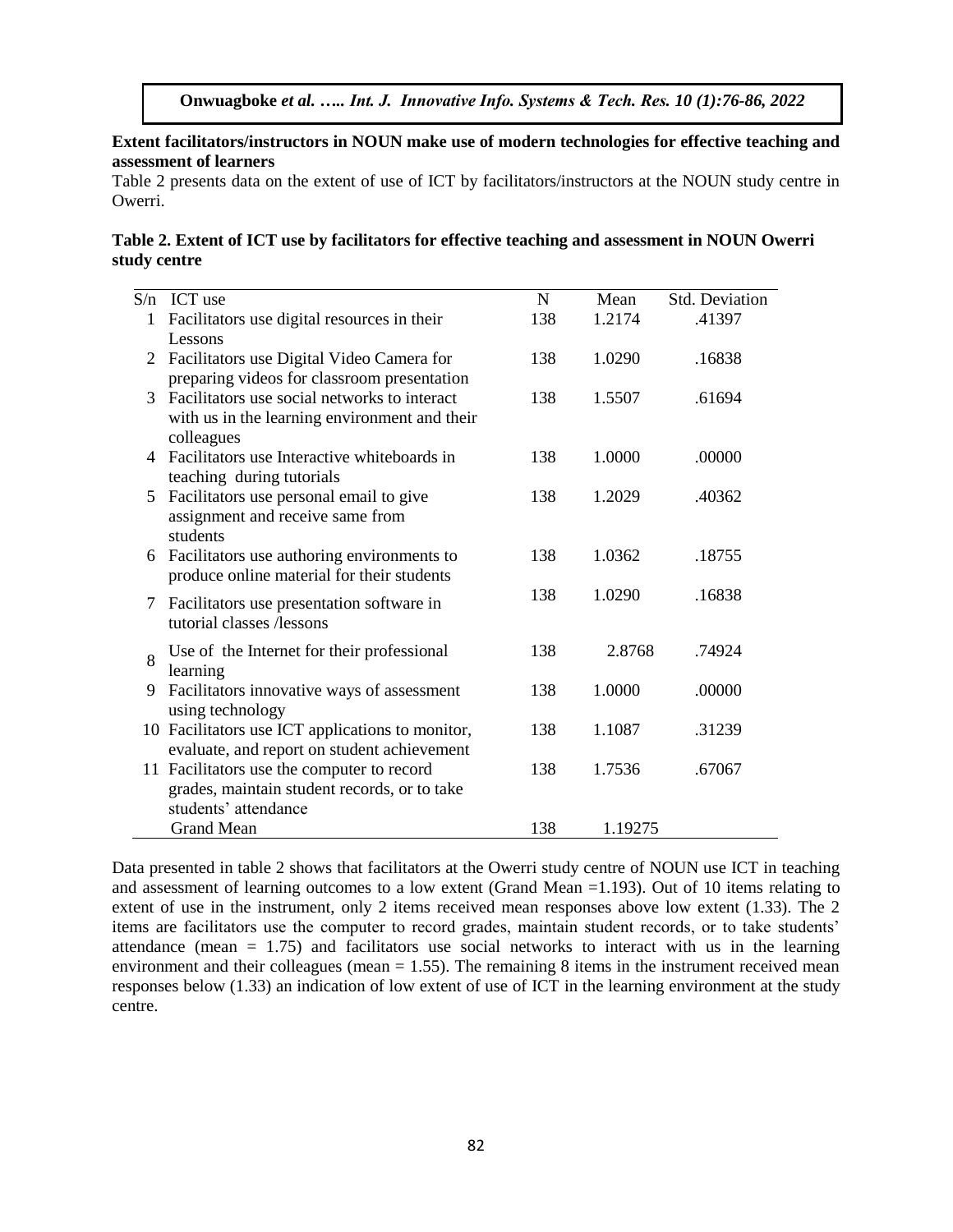## **Extent facilitators/instructors in NOUN make use of modern technologies for effective teaching and assessment of learners**

Table 2 presents data on the extent of use of ICT by facilitators/instructors at the NOUN study centre in Owerri.

# **Table 2. Extent of ICT use by facilitators for effective teaching and assessment in NOUN Owerri study centre**

| S/n | ICT use                                          | $\mathbf N$ | Mean    | <b>Std. Deviation</b> |
|-----|--------------------------------------------------|-------------|---------|-----------------------|
|     |                                                  |             |         |                       |
| 1   | Facilitators use digital resources in their      | 138         | 1.2174  | .41397                |
|     | Lessons                                          |             |         |                       |
| 2   | Facilitators use Digital Video Camera for        | 138         | 1.0290  | .16838                |
|     | preparing videos for classroom presentation      |             |         |                       |
| 3   | Facilitators use social networks to interact     | 138         | 1.5507  | .61694                |
|     | with us in the learning environment and their    |             |         |                       |
|     | colleagues                                       |             |         |                       |
| 4   | Facilitators use Interactive whiteboards in      | 138         | 1.0000  | .00000                |
|     | teaching during tutorials                        |             |         |                       |
| 5   | Facilitators use personal email to give          | 138         | 1.2029  | .40362                |
|     | assignment and receive same from                 |             |         |                       |
|     | students                                         |             |         |                       |
|     |                                                  | 138         | 1.0362  | .18755                |
| 6   | Facilitators use authoring environments to       |             |         |                       |
|     | produce online material for their students       |             |         |                       |
| 7   | Facilitators use presentation software in        | 138         | 1.0290  | .16838                |
|     | tutorial classes /lessons                        |             |         |                       |
|     |                                                  |             |         |                       |
| 8   | Use of the Internet for their professional       | 138         | 2.8768  | .74924                |
|     | learning                                         |             |         |                       |
| 9   | Facilitators innovative ways of assessment       | 138         | 1.0000  | .00000                |
|     | using technology                                 |             |         |                       |
|     | 10 Facilitators use ICT applications to monitor, | 138         | 1.1087  | .31239                |
|     | evaluate, and report on student achievement      |             |         |                       |
|     | 11 Facilitators use the computer to record       | 138         | 1.7536  | .67067                |
|     | grades, maintain student records, or to take     |             |         |                       |
|     | students' attendance                             |             |         |                       |
|     | <b>Grand Mean</b>                                | 138         | 1.19275 |                       |
|     |                                                  |             |         |                       |

Data presented in table 2 shows that facilitators at the Owerri study centre of NOUN use ICT in teaching and assessment of learning outcomes to a low extent (Grand Mean =1.193). Out of 10 items relating to extent of use in the instrument, only 2 items received mean responses above low extent (1.33). The 2 items are facilitators use the computer to record grades, maintain student records, or to take students' attendance (mean  $= 1.75$ ) and facilitators use social networks to interact with us in the learning environment and their colleagues (mean  $= 1.55$ ). The remaining 8 items in the instrument received mean responses below (1.33) an indication of low extent of use of ICT in the learning environment at the study centre.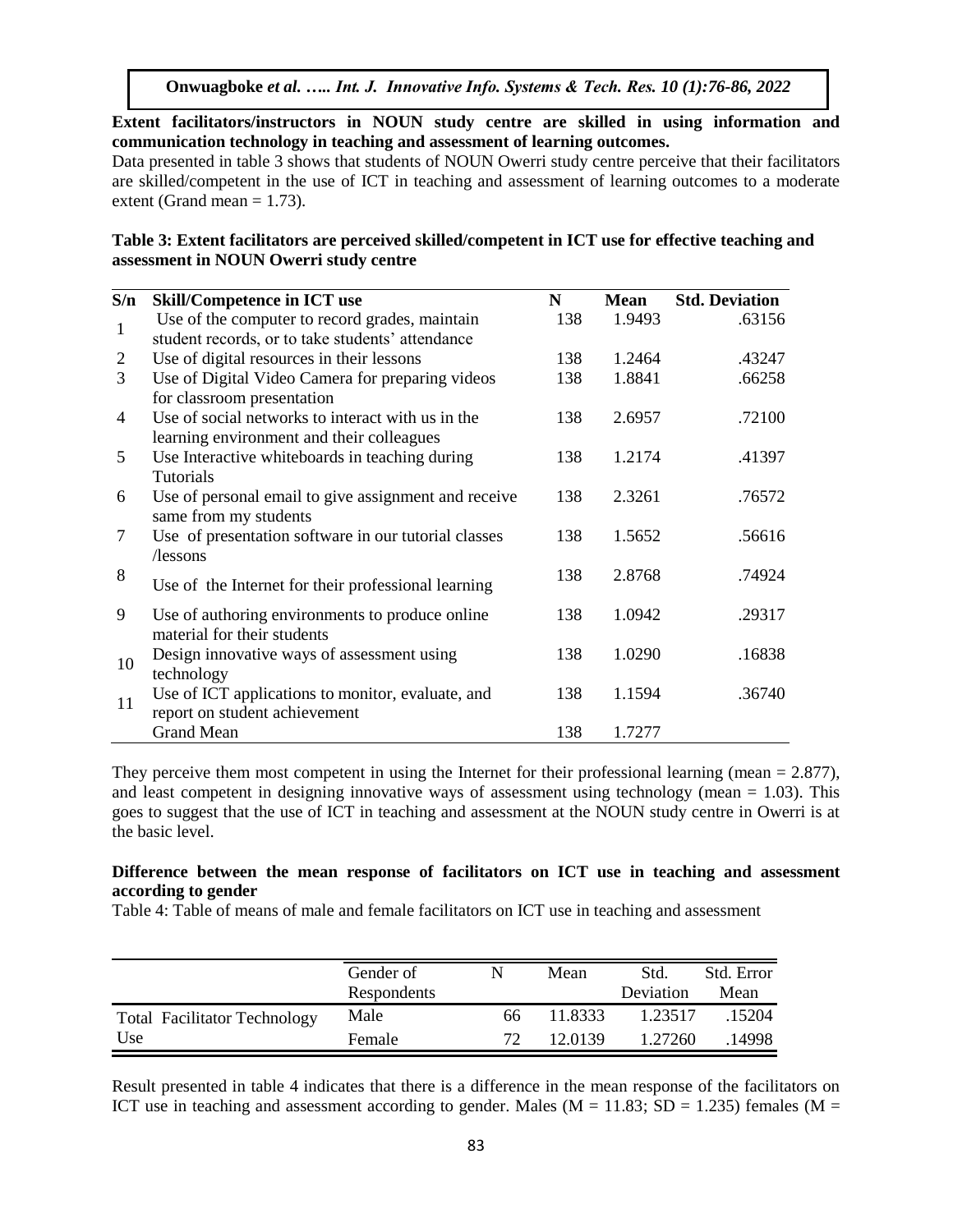**Extent facilitators/instructors in NOUN study centre are skilled in using information and communication technology in teaching and assessment of learning outcomes.**

Data presented in table 3 shows that students of NOUN Owerri study centre perceive that their facilitators are skilled/competent in the use of ICT in teaching and assessment of learning outcomes to a moderate extent (Grand mean  $= 1.73$ ).

#### **Table 3: Extent facilitators are perceived skilled/competent in ICT use for effective teaching and assessment in NOUN Owerri study centre**

| S/n            | <b>Skill/Competence in ICT use</b>                   | N   | <b>Mean</b> | <b>Std. Deviation</b> |
|----------------|------------------------------------------------------|-----|-------------|-----------------------|
| $\mathbf{1}$   | Use of the computer to record grades, maintain       | 138 | 1.9493      | .63156                |
|                | student records, or to take students' attendance     |     |             |                       |
| $\overline{2}$ | Use of digital resources in their lessons            | 138 | 1.2464      | .43247                |
| 3              | Use of Digital Video Camera for preparing videos     | 138 | 1.8841      | .66258                |
|                | for classroom presentation                           |     |             |                       |
| $\overline{4}$ | Use of social networks to interact with us in the    | 138 | 2.6957      | .72100                |
|                | learning environment and their colleagues            |     |             |                       |
| 5              | Use Interactive whiteboards in teaching during       | 138 | 1.2174      | .41397                |
|                | Tutorials                                            |     |             |                       |
| 6              | Use of personal email to give assignment and receive | 138 | 2.3261      | .76572                |
|                | same from my students                                |     |             |                       |
| 7              | Use of presentation software in our tutorial classes | 138 | 1.5652      | .56616                |
|                | /lessons                                             |     |             |                       |
| 8              | Use of the Internet for their professional learning  | 138 | 2.8768      | .74924                |
|                |                                                      |     |             |                       |
| 9              | Use of authoring environments to produce online      | 138 | 1.0942      | .29317                |
|                | material for their students                          |     |             |                       |
| 10             | Design innovative ways of assessment using           | 138 | 1.0290      | .16838                |
|                | technology                                           |     |             |                       |
| 11             | Use of ICT applications to monitor, evaluate, and    | 138 | 1.1594      | .36740                |
|                | report on student achievement                        |     |             |                       |
|                | <b>Grand Mean</b>                                    | 138 | 1.7277      |                       |

They perceive them most competent in using the Internet for their professional learning (mean  $= 2.877$ ), and least competent in designing innovative ways of assessment using technology (mean  $= 1.03$ ). This goes to suggest that the use of ICT in teaching and assessment at the NOUN study centre in Owerri is at the basic level.

#### **Difference between the mean response of facilitators on ICT use in teaching and assessment according to gender**

Table 4: Table of means of male and female facilitators on ICT use in teaching and assessment

|                                     | Gender of<br><b>Respondents</b> |     | Mean    | Std.<br>Deviation | Std. Error<br>Mean |
|-------------------------------------|---------------------------------|-----|---------|-------------------|--------------------|
| <b>Total Facilitator Technology</b> | Male                            | 66  | 11.8333 | 1.23517           | 15204              |
| Use                                 | Female                          | 72. | 12.0139 | 1.27260           | 14998              |

Result presented in table 4 indicates that there is a difference in the mean response of the facilitators on ICT use in teaching and assessment according to gender. Males ( $M = 11.83$ ; SD = 1.235) females ( $M =$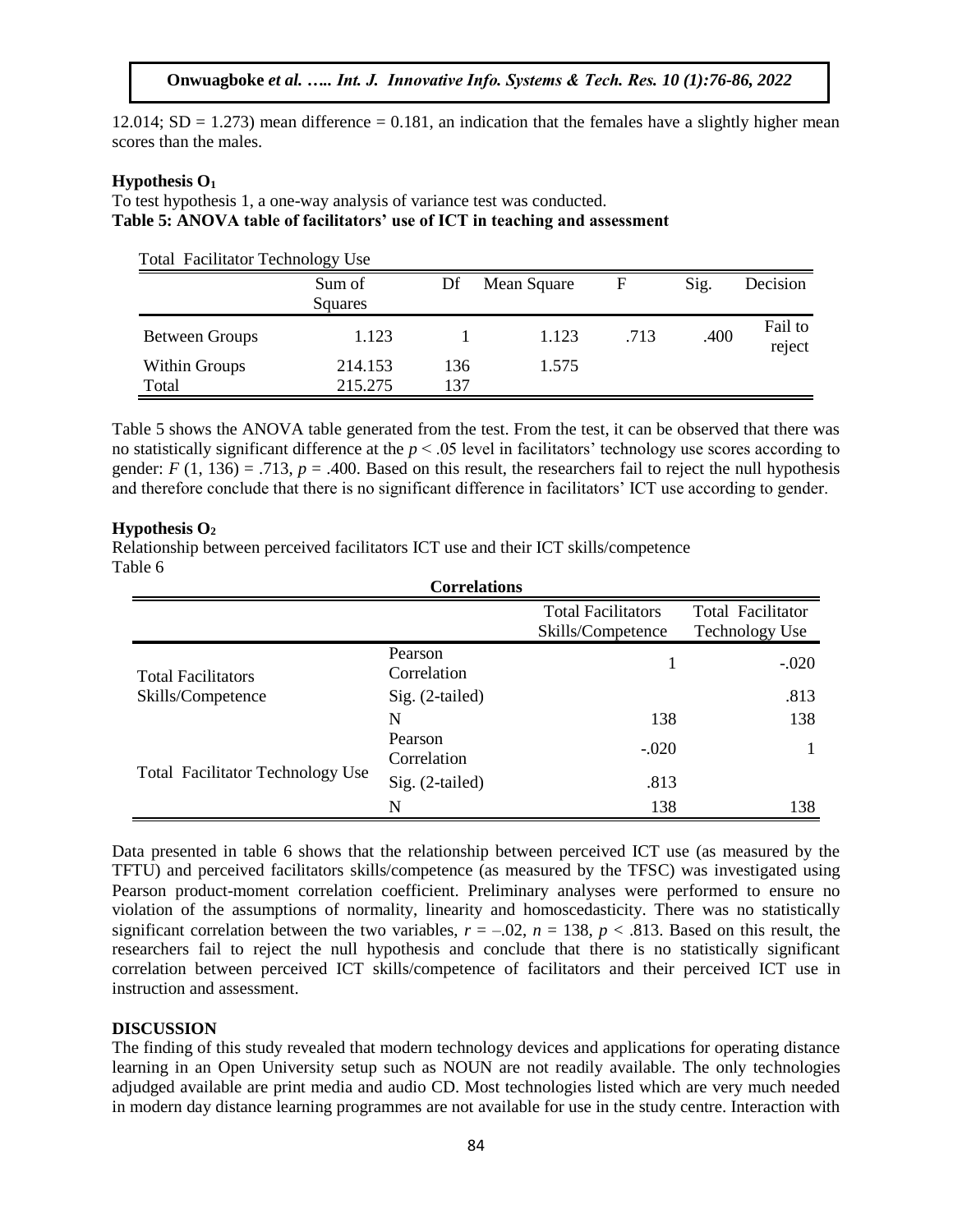12.014;  $SD = 1.273$ ) mean difference = 0.181, an indication that the females have a slightly higher mean scores than the males.

#### **Hypothesis O<sup>1</sup>**

To test hypothesis 1, a one-way analysis of variance test was conducted. **Table 5: ANOVA table of facilitators' use of ICT in teaching and assessment**

Total Facilitator Technology Use

|                        | Sum of<br>Squares  | Df         | Mean Square | F    | Sig. | Decision          |
|------------------------|--------------------|------------|-------------|------|------|-------------------|
| Between Groups         | 1.123              |            | 1.123       | .713 | .400 | Fail to<br>reject |
| Within Groups<br>Total | 214.153<br>215.275 | 136<br>137 | 1.575       |      |      |                   |

Table 5 shows the ANOVA table generated from the test. From the test, it can be observed that there was no statistically significant difference at the *p* < .05 level in facilitators' technology use scores according to gender:  $F(1, 136) = .713$ ,  $p = .400$ . Based on this result, the researchers fail to reject the null hypothesis and therefore conclude that there is no significant difference in facilitators' ICT use according to gender.

#### **Hypothesis O<sup>2</sup>**

Relationship between perceived facilitators ICT use and their ICT skills/competence Table 6

| <b>Correlations</b>                     |                        |                                                |                                            |  |  |  |
|-----------------------------------------|------------------------|------------------------------------------------|--------------------------------------------|--|--|--|
|                                         |                        | <b>Total Facilitators</b><br>Skills/Competence | Total Facilitator<br><b>Technology Use</b> |  |  |  |
| <b>Total Facilitators</b>               | Pearson<br>Correlation |                                                | $-.020$                                    |  |  |  |
| Skills/Competence                       | Sig. (2-tailed)        |                                                | .813                                       |  |  |  |
|                                         | N                      | 138                                            | 138                                        |  |  |  |
|                                         | Pearson<br>Correlation | $-.020$                                        |                                            |  |  |  |
| <b>Total Facilitator Technology Use</b> | $Sig. (2-tailed)$      | .813                                           |                                            |  |  |  |
|                                         | N                      | 138                                            | 138                                        |  |  |  |

Data presented in table 6 shows that the relationship between perceived ICT use (as measured by the TFTU) and perceived facilitators skills/competence (as measured by the TFSC) was investigated using Pearson product-moment correlation coefficient. Preliminary analyses were performed to ensure no violation of the assumptions of normality, linearity and homoscedasticity. There was no statistically significant correlation between the two variables,  $r = -0.02$ ,  $n = 138$ ,  $p < .813$ . Based on this result, the researchers fail to reject the null hypothesis and conclude that there is no statistically significant correlation between perceived ICT skills/competence of facilitators and their perceived ICT use in instruction and assessment.

#### **DISCUSSION**

The finding of this study revealed that modern technology devices and applications for operating distance learning in an Open University setup such as NOUN are not readily available. The only technologies adjudged available are print media and audio CD. Most technologies listed which are very much needed in modern day distance learning programmes are not available for use in the study centre. Interaction with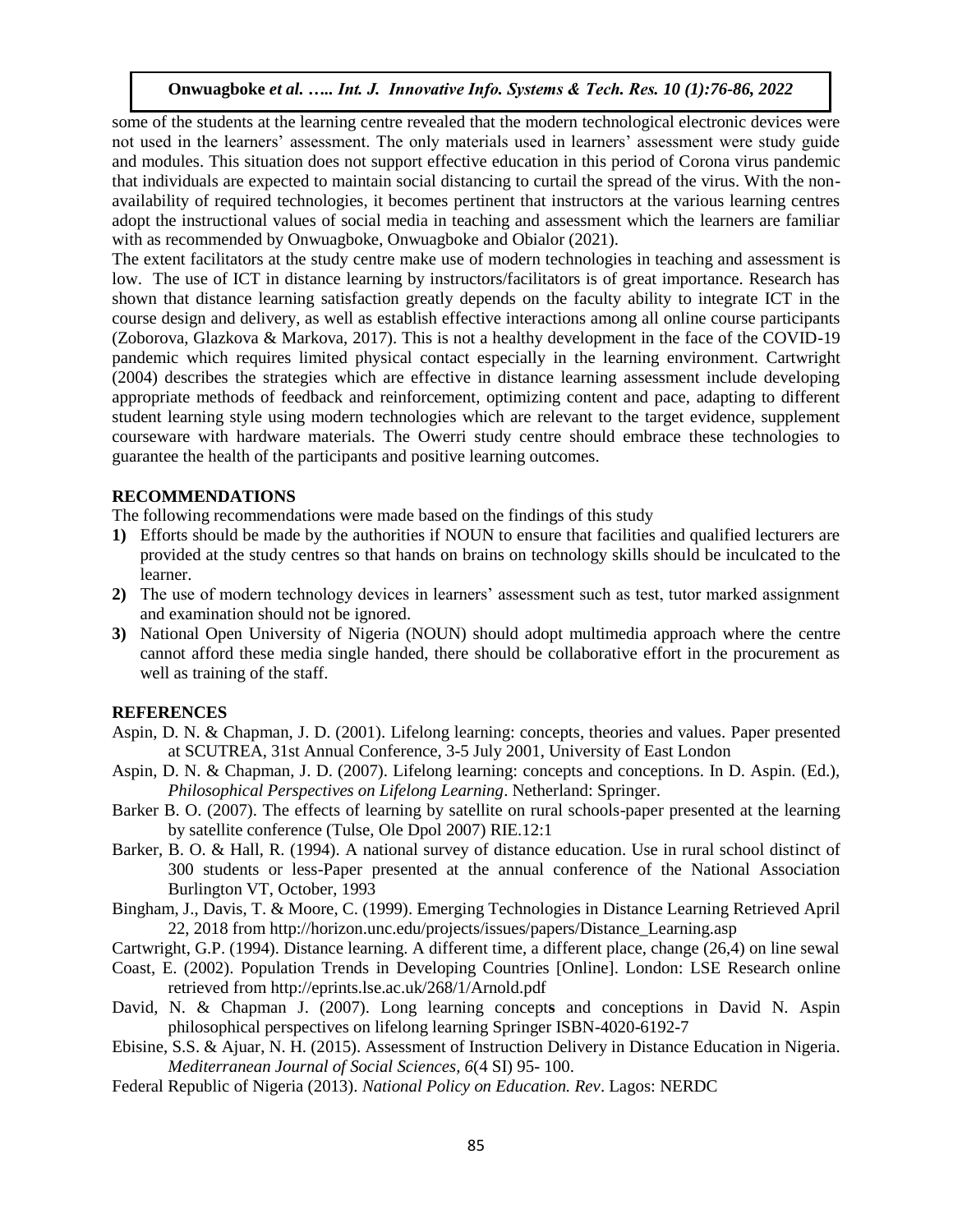some of the students at the learning centre revealed that the modern technological electronic devices were not used in the learners' assessment. The only materials used in learners' assessment were study guide and modules. This situation does not support effective education in this period of Corona virus pandemic that individuals are expected to maintain social distancing to curtail the spread of the virus. With the nonavailability of required technologies, it becomes pertinent that instructors at the various learning centres adopt the instructional values of social media in teaching and assessment which the learners are familiar with as recommended by Onwuagboke, Onwuagboke and Obialor (2021).

The extent facilitators at the study centre make use of modern technologies in teaching and assessment is low. The use of ICT in distance learning by instructors/facilitators is of great importance. Research has shown that distance learning satisfaction greatly depends on the faculty ability to integrate ICT in the course design and delivery, as well as establish effective interactions among all online course participants (Zoborova, Glazkova & Markova, 2017). This is not a healthy development in the face of the COVID-19 pandemic which requires limited physical contact especially in the learning environment. Cartwright (2004) describes the strategies which are effective in distance learning assessment include developing appropriate methods of feedback and reinforcement, optimizing content and pace, adapting to different student learning style using modern technologies which are relevant to the target evidence, supplement courseware with hardware materials. The Owerri study centre should embrace these technologies to guarantee the health of the participants and positive learning outcomes.

#### **RECOMMENDATIONS**

The following recommendations were made based on the findings of this study

- **1)** Efforts should be made by the authorities if NOUN to ensure that facilities and qualified lecturers are provided at the study centres so that hands on brains on technology skills should be inculcated to the learner.
- **2)** The use of modern technology devices in learners' assessment such as test, tutor marked assignment and examination should not be ignored.
- **3)** National Open University of Nigeria (NOUN) should adopt multimedia approach where the centre cannot afford these media single handed, there should be collaborative effort in the procurement as well as training of the staff.

#### **REFERENCES**

- Aspin, D. N. & Chapman, J. D. (2001). Lifelong learning: concepts, theories and values. Paper presented at SCUTREA, 31st Annual Conference, 3-5 July 2001, University of East London
- Aspin, D. N. & Chapman, J. D. (2007). Lifelong learning: concepts and conceptions. In D. Aspin. (Ed.), *Philosophical Perspectives on Lifelong Learning*. Netherland: Springer.
- Barker B. O. (2007). The effects of learning by satellite on rural schools-paper presented at the learning by satellite conference (Tulse, Ole Dpol 2007) RIE.12:1
- Barker, B. O. & Hall, R. (1994). A national survey of distance education. Use in rural school distinct of 300 students or less-Paper presented at the annual conference of the National Association Burlington VT, October, 1993
- Bingham, J., Davis, T. & Moore, C. (1999). Emerging Technologies in Distance Learning Retrieved April 22, 2018 from http://horizon.unc.edu/projects/issues/papers/Distance\_Learning.asp
- Cartwright, G.P. (1994). Distance learning. A different time, a different place, change (26,4) on line sewal
- Coast, E. (2002). Population Trends in Developing Countries [Online]. London: LSE Research online retrieved from http://eprints.lse.ac.uk/268/1/Arnold.pdf
- David, N. & Chapman J. (2007). Long learning concept**s** and conceptions in David N. Aspin philosophical perspectives on lifelong learning Springer ISBN-4020-6192-7
- Ebisine, S.S. & Ajuar, N. H. (2015). Assessment of Instruction Delivery in Distance Education in Nigeria. *Mediterranean Journal of Social Sciences, 6*(4 SI) 95- 100.
- Federal Republic of Nigeria (2013). *National Policy on Education. Rev*. Lagos: NERDC